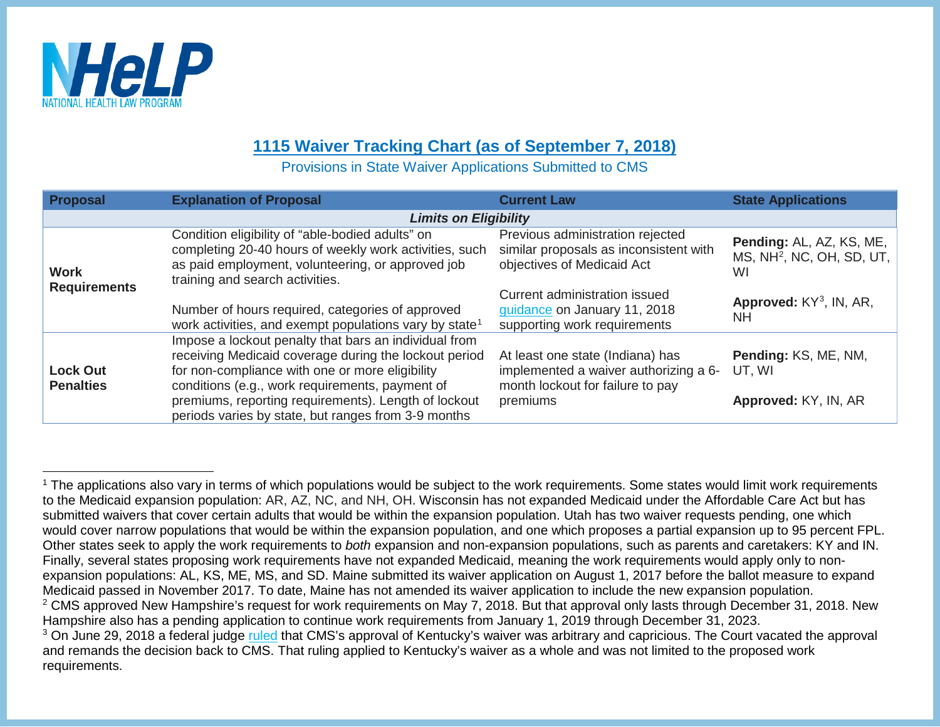

## <span id="page-0-0"></span>**1115 Waiver Tracking Chart (as of September 7, 2018)**

<span id="page-0-2"></span><span id="page-0-1"></span>Provisions in State Waiver Applications Submitted to CMS

| <b>Proposal</b>                     | <b>Explanation of Proposal</b>                                                                                                                                                                                       | <b>Current Law</b>                                                                                            | <b>State Applications</b>                                               |  |  |
|-------------------------------------|----------------------------------------------------------------------------------------------------------------------------------------------------------------------------------------------------------------------|---------------------------------------------------------------------------------------------------------------|-------------------------------------------------------------------------|--|--|
| <b>Limits on Eligibility</b>        |                                                                                                                                                                                                                      |                                                                                                               |                                                                         |  |  |
| <b>Work</b><br><b>Requirements</b>  | Condition eligibility of "able-bodied adults" on<br>completing 20-40 hours of weekly work activities, such<br>as paid employment, volunteering, or approved job<br>training and search activities.                   | Previous administration rejected<br>similar proposals as inconsistent with<br>objectives of Medicaid Act      | Pending: AL, AZ, KS, ME,<br>MS, NH <sup>2</sup> , NC, OH, SD, UT,<br>WI |  |  |
|                                     | Number of hours required, categories of approved<br>work activities, and exempt populations vary by state <sup>1</sup>                                                                                               | Current administration issued<br>guidance on January 11, 2018<br>supporting work requirements                 | Approved: $KY^3$ , IN, AR,<br><b>NH</b>                                 |  |  |
| <b>Lock Out</b><br><b>Penalties</b> | Impose a lockout penalty that bars an individual from<br>receiving Medicaid coverage during the lockout period<br>for non-compliance with one or more eligibility<br>conditions (e.g., work requirements, payment of | At least one state (Indiana) has<br>implemented a waiver authorizing a 6-<br>month lockout for failure to pay | Pending: KS, ME, NM,<br>UT. WI                                          |  |  |
|                                     | premiums, reporting requirements). Length of lockout<br>periods varies by state, but ranges from 3-9 months                                                                                                          | premiums                                                                                                      | Approved: KY, IN, AR                                                    |  |  |

<sup>&</sup>lt;sup>1</sup> The applications also vary in terms of which populations would be subject to the work requirements. Some states would limit work requirements to the Medicaid expansion population: AR, AZ, NC, and NH, OH. Wisconsin has not expanded Medicaid under the Affordable Care Act but has submitted waivers that cover certain adults that would be within the expansion population. Utah has two waiver requests pending, one which would cover narrow populations that would be within the expansion population, and one which proposes a partial expansion up to 95 percent FPL. Other states seek to apply the work requirements to *both* expansion and non-expansion populations, such as parents and caretakers: KY and IN. Finally, several states proposing work requirements have not expanded Medicaid, meaning the work requirements would apply only to nonexpansion populations: AL, KS, ME, MS, and SD. Maine submitted its waiver application on August 1, 2017 before the ballot measure to expand Medicaid passed in November 2017. To date, Maine has not amended its waiver application to include the new expansion population.  $2$  CMS approved New Hampshire's request for work requirements on May 7, 2018. But that approval only lasts through December 31, 2018. New Hampshire also has a pending application to continue work requirements from January 1, 2019 through December 31, 2023. <sup>3</sup> On June 29, 2018 a federal judge [ruled](http://www.healthlaw.org/news/press-releases/735-kentucky-medicaid-waiver-scheme-halted-by-federal-court) that CMS's approval of Kentucky's waiver was arbitrary and capricious. The Court vacated the approval and remands the decision back to CMS. That ruling applied to Kentucky's waiver as a whole and was not limited to the proposed work requirements.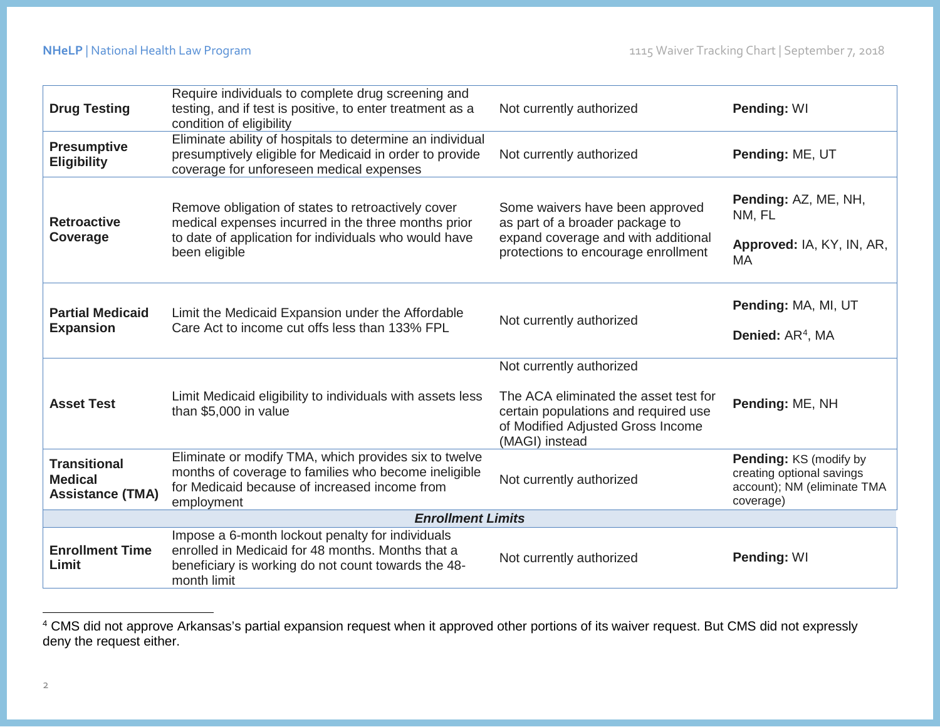<span id="page-1-0"></span>

| <b>Drug Testing</b>                                              | Require individuals to complete drug screening and<br>testing, and if test is positive, to enter treatment as a<br>condition of eligibility                                         | Not currently authorized                                                                                                                                         | Pending: WI                                                                                     |  |
|------------------------------------------------------------------|-------------------------------------------------------------------------------------------------------------------------------------------------------------------------------------|------------------------------------------------------------------------------------------------------------------------------------------------------------------|-------------------------------------------------------------------------------------------------|--|
| <b>Presumptive</b><br><b>Eligibility</b>                         | Eliminate ability of hospitals to determine an individual<br>presumptively eligible for Medicaid in order to provide<br>coverage for unforeseen medical expenses                    | Not currently authorized                                                                                                                                         | Pending: ME, UT                                                                                 |  |
| <b>Retroactive</b><br>Coverage                                   | Remove obligation of states to retroactively cover<br>medical expenses incurred in the three months prior<br>to date of application for individuals who would have<br>been eligible | Some waivers have been approved<br>as part of a broader package to<br>expand coverage and with additional<br>protections to encourage enrollment                 | Pending: AZ, ME, NH,<br>NM, FL<br>Approved: IA, KY, IN, AR,<br><b>MA</b>                        |  |
| <b>Partial Medicaid</b><br><b>Expansion</b>                      | Limit the Medicaid Expansion under the Affordable<br>Care Act to income cut offs less than 133% FPL                                                                                 | Not currently authorized                                                                                                                                         | Pending: MA, MI, UT<br>Denied: AR <sup>4</sup> , MA                                             |  |
| <b>Asset Test</b>                                                | Limit Medicaid eligibility to individuals with assets less<br>than \$5,000 in value                                                                                                 | Not currently authorized<br>The ACA eliminated the asset test for<br>certain populations and required use<br>of Modified Adjusted Gross Income<br>(MAGI) instead | Pending: ME, NH                                                                                 |  |
| <b>Transitional</b><br><b>Medical</b><br><b>Assistance (TMA)</b> | Eliminate or modify TMA, which provides six to twelve<br>months of coverage to families who become ineligible<br>for Medicaid because of increased income from<br>employment        | Not currently authorized                                                                                                                                         | Pending: KS (modify by<br>creating optional savings<br>account); NM (eliminate TMA<br>coverage) |  |
| <b>Enrollment Limits</b>                                         |                                                                                                                                                                                     |                                                                                                                                                                  |                                                                                                 |  |
| <b>Enrollment Time</b><br>Limit                                  | Impose a 6-month lockout penalty for individuals<br>enrolled in Medicaid for 48 months. Months that a<br>beneficiary is working do not count towards the 48-<br>month limit         | Not currently authorized                                                                                                                                         | Pending: WI                                                                                     |  |

 <sup>4</sup> CMS did not approve Arkansas's partial expansion request when it approved other portions of its waiver request. But CMS did not expressly deny the request either.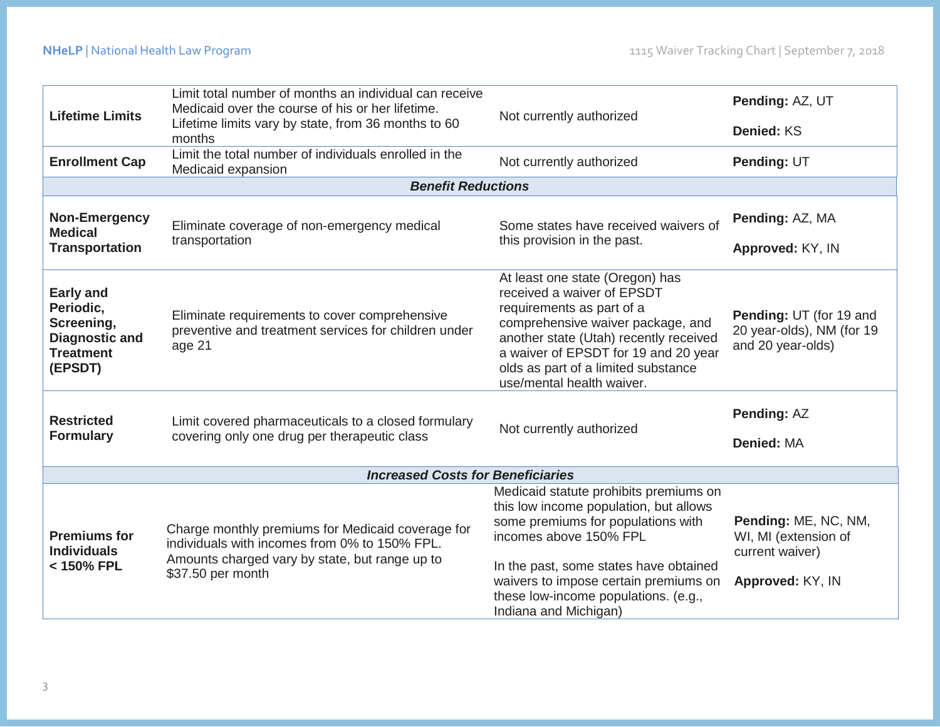| <b>Lifetime Limits</b>                                                                              | Limit total number of months an individual can receive<br>Medicaid over the course of his or her lifetime.<br>Lifetime limits vary by state, from 36 months to 60<br>months | Not currently authorized                                                                                                                                                                                                                                                                             | Pending: AZ, UT<br>Denied: KS                                                       |  |  |
|-----------------------------------------------------------------------------------------------------|-----------------------------------------------------------------------------------------------------------------------------------------------------------------------------|------------------------------------------------------------------------------------------------------------------------------------------------------------------------------------------------------------------------------------------------------------------------------------------------------|-------------------------------------------------------------------------------------|--|--|
| <b>Enrollment Cap</b>                                                                               | Limit the total number of individuals enrolled in the<br>Medicaid expansion                                                                                                 | Not currently authorized                                                                                                                                                                                                                                                                             | Pending: UT                                                                         |  |  |
|                                                                                                     | <b>Benefit Reductions</b>                                                                                                                                                   |                                                                                                                                                                                                                                                                                                      |                                                                                     |  |  |
| <b>Non-Emergency</b><br><b>Medical</b><br><b>Transportation</b>                                     | Eliminate coverage of non-emergency medical<br>transportation                                                                                                               | Some states have received waivers of<br>this provision in the past.                                                                                                                                                                                                                                  | Pending: AZ, MA<br>Approved: KY, IN                                                 |  |  |
| <b>Early and</b><br>Periodic,<br>Screening,<br><b>Diagnostic and</b><br><b>Treatment</b><br>(EPSDT) | Eliminate requirements to cover comprehensive<br>preventive and treatment services for children under<br>age 21                                                             | At least one state (Oregon) has<br>received a waiver of EPSDT<br>requirements as part of a<br>comprehensive waiver package, and<br>another state (Utah) recently received<br>a waiver of EPSDT for 19 and 20 year<br>olds as part of a limited substance<br>use/mental health waiver.                | Pending: UT (for 19 and<br>20 year-olds), NM (for 19<br>and 20 year-olds)           |  |  |
| <b>Restricted</b><br><b>Formulary</b>                                                               | Limit covered pharmaceuticals to a closed formulary<br>covering only one drug per therapeutic class                                                                         | Not currently authorized                                                                                                                                                                                                                                                                             | <b>Pending: AZ</b><br>Denied: MA                                                    |  |  |
| <b>Increased Costs for Beneficiaries</b>                                                            |                                                                                                                                                                             |                                                                                                                                                                                                                                                                                                      |                                                                                     |  |  |
| <b>Premiums for</b><br><b>Individuals</b><br>< 150% FPL                                             | Charge monthly premiums for Medicaid coverage for<br>individuals with incomes from 0% to 150% FPL.<br>Amounts charged vary by state, but range up to<br>\$37.50 per month   | Medicaid statute prohibits premiums on<br>this low income population, but allows<br>some premiums for populations with<br>incomes above 150% FPL<br>In the past, some states have obtained<br>waivers to impose certain premiums on<br>these low-income populations. (e.g.,<br>Indiana and Michigan) | Pending: ME, NC, NM,<br>WI, MI (extension of<br>current waiver)<br>Approved: KY, IN |  |  |